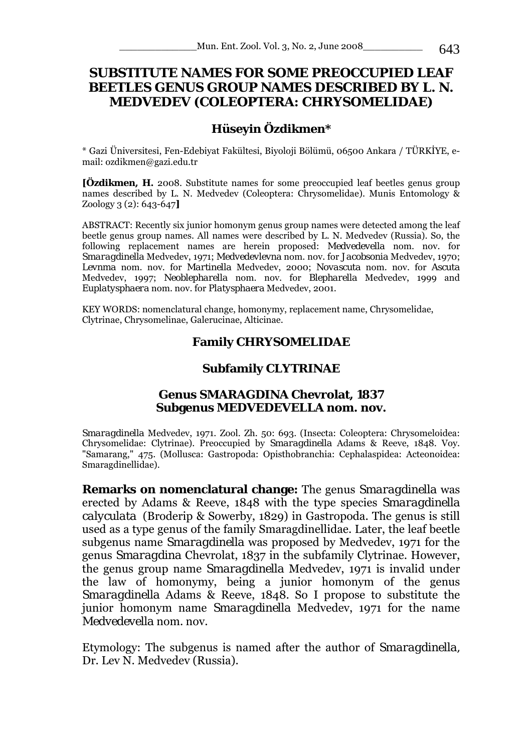# **SUBSTITUTE NAMES FOR SOME PREOCCUPIED LEAF BEETLES GENUS GROUP NAMES DESCRIBED BY L. N. MEDVEDEV (COLEOPTERA: CHRYSOMELIDAE)**

### **Hüseyin Özdikmen\***

\* Gazi Üniversitesi, Fen-Edebiyat Fakültesi, Biyoloji Bölümü, 06500 Ankara / TÜRKİYE, email: ozdikmen@gazi.edu.tr

**[Özdikmen, H.** 2008. Substitute names for some preoccupied leaf beetles genus group names described by L. N. Medvedev (Coleoptera: Chrysomelidae). Munis Entomology & Zoology 3 (2): 643-647**]** 

ABSTRACT: Recently six junior homonym genus group names were detected among the leaf beetle genus group names. All names were described by L. N. Medvedev (Russia). So, the following replacement names are herein proposed: *Medvedevella* nom. nov. for *Smaragdinella* Medvedev, 1971; *Medvedevlevna* nom. nov. for *Jacobsonia* Medvedev, 1970; *Levnma* nom. nov. for *Martinella* Medvedev, 2000; *Novascuta* nom. nov. for *Ascuta*  Medvedev, 1997; *Neoblepharella* nom. nov. for *Blepharella* Medvedev, 1999 and *Euplatysphaera* nom. nov. for *Platysphaera* Medvedev, 2001.

KEY WORDS: nomenclatural change, homonymy, replacement name, Chrysomelidae, Clytrinae, Chrysomelinae, Galerucinae, Alticinae.

### **Family CHRYSOMELIDAE**

#### **Subfamily CLYTRINAE**

#### **Genus** *SMARAGDINA* **Chevrolat, 1837 Subgenus** *MEDVEDEVELLA* **nom. nov.**

*Smaragdinella* Medvedev, 1971. Zool. Zh. 50: 693. (Insecta: Coleoptera: Chrysomeloidea: Chrysomelidae: Clytrinae). Preoccupied by *Smaragdinella* Adams & Reeve, 1848. Voy. "Samarang," 475. (Mollusca: Gastropoda: Opisthobranchia: Cephalaspidea: Acteonoidea: Smaragdinellidae).

**Remarks on nomenclatural change:** The genus *Smaragdinella* was erected by Adams & Reeve, 1848 with the type species *Smaragdinella calyculata* (Broderip & Sowerby, 1829) in Gastropoda. The genus is still used as a type genus of the family Smaragdinellidae. Later, the leaf beetle subgenus name *Smaragdinella* was proposed by Medvedev, 1971 for the genus *Smaragdina* Chevrolat, 1837 in the subfamily Clytrinae. However, the genus group name *Smaragdinella* Medvedev, 1971 is invalid under the law of homonymy, being a junior homonym of the genus *Smaragdinella* Adams & Reeve, 1848. So I propose to substitute the junior homonym name *Smaragdinella* Medvedev, 1971 for the name *Medvedevella* nom. nov.

Etymology: The subgenus is named after the author of *Smaragdinella,* Dr. Lev N. Medvedev (Russia).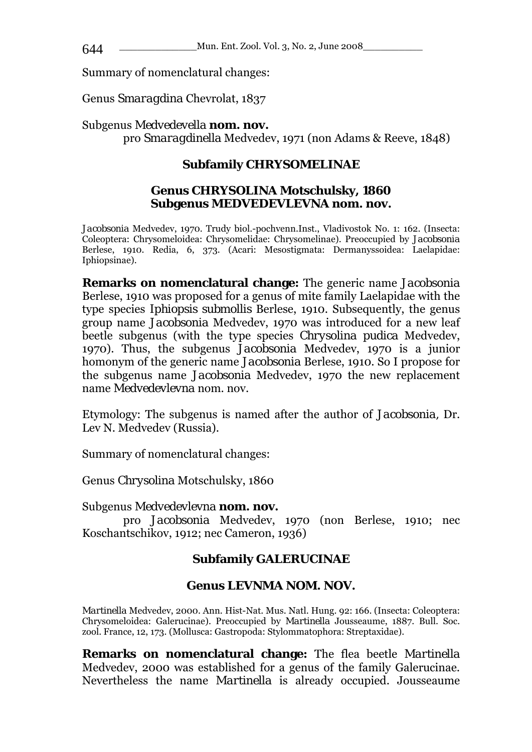\_\_\_\_\_\_\_\_\_\_\_\_\_Mun. Ent. Zool. Vol. 3, No. 2, June 2008\_\_\_\_\_\_\_\_\_\_ 644

Summary of nomenclatural changes:

Genus *Smaragdina* Chevrolat, 1837

### Subgenus *Medvedevella* **nom. nov.**

pro *Smaragdinella* Medvedev, 1971 (non Adams & Reeve, 1848)

# **Subfamily CHRYSOMELINAE**

### **Genus** *CHRYSOLINA* **Motschulsky, 1860 Subgenus** *MEDVEDEVLEVNA* **nom. nov.**

*Jacobsonia* Medvedev, 1970. Trudy biol.-pochvenn.Inst., Vladivostok No. 1: 162. (Insecta: Coleoptera: Chrysomeloidea: Chrysomelidae: Chrysomelinae). Preoccupied by *Jacobsonia*  Berlese, 1910. Redia, 6, 373. (Acari: Mesostigmata: Dermanyssoidea: Laelapidae: Iphiopsinae).

**Remarks on nomenclatural change:** The generic name *Jacobsonia*  Berlese, 1910 was proposed for a genus of mite family Laelapidae with the type species *Iphiopsis submollis* Berlese, 1910. Subsequently, the genus group name *Jacobsonia* Medvedev, 1970 was introduced for a new leaf beetle subgenus (with the type species *Chrysolina pudica* Medvedev, 1970). Thus, the subgenus *Jacobsonia* Medvedev, 1970 is a junior homonym of the generic name *Jacobsonia* Berlese, 1910. So I propose for the subgenus name *Jacobsonia* Medvedev, 1970 the new replacement name *Medvedevlevna* nom. nov.

Etymology: The subgenus is named after the author of *Jacobsonia,* Dr. Lev N. Medvedev (Russia).

Summary of nomenclatural changes:

Genus *Chrysolina* Motschulsky, 1860

Subgenus *Medvedevlevna* **nom. nov.** 

pro *Jacobsonia* Medvedev, 1970 (non Berlese, 1910; nec Koschantschikov, 1912; nec Cameron, 1936)

# **Subfamily GALERUCINAE**

# **Genus** *LEVNMA* **NOM. NOV.**

*Martinella* Medvedev, 2000. Ann. Hist-Nat. Mus. Natl. Hung. 92: 166. (Insecta: Coleoptera: Chrysomeloidea: Galerucinae). Preoccupied by *Martinella* Jousseaume, 1887. Bull. Soc. zool. France, 12, 173. (Mollusca: Gastropoda: Stylommatophora: Streptaxidae).

**Remarks on nomenclatural change:** The flea beetle *Martinella*  Medvedev, 2000 was established for a genus of the family Galerucinae. Nevertheless the name *Martinella* is already occupied. Jousseaume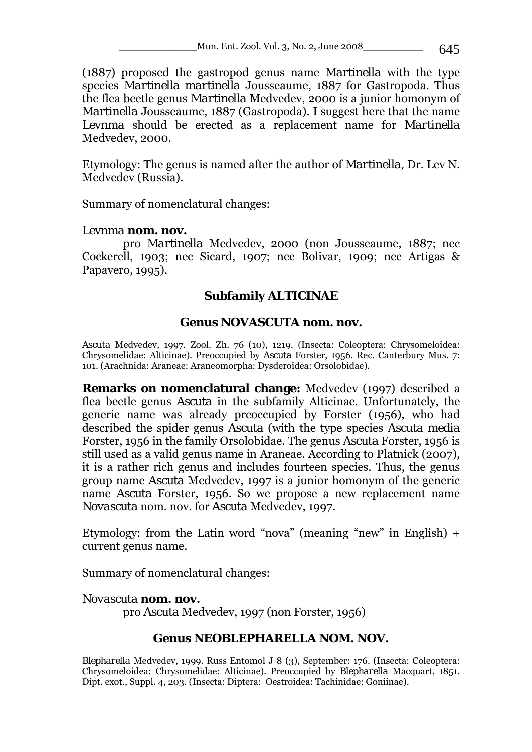Mun. Ent. Zool. Vol. 3, No. 2, June 2008\_\_\_\_\_\_\_\_\_\_\_\_\_\_\_\_\_\_\_\_ 645

(1887) proposed the gastropod genus name *Martinella* with the type species *Martinella martinella* Jousseaume, 1887 for Gastropoda. Thus the flea beetle genus *Martinella* Medvedev, 2000 is a junior homonym of *Martinella* Jousseaume, 1887 (Gastropoda). I suggest here that the name *Levnma* should be erected as a replacement name for *Martinella*  Medvedev, 2000.

Etymology: The genus is named after the author of *Martinella,* Dr. Lev N. Medvedev (Russia).

Summary of nomenclatural changes:

## *Levnma* **nom. nov.**

pro *Martinella* Medvedev, 2000 (non Jousseaume, 1887; nec Cockerell, 1903; nec Sicard, 1907; nec Bolivar, 1909; nec Artigas & Papavero, 1995).

# **Subfamily ALTICINAE**

## **Genus** *NOVASCUTA* **nom. nov.**

*Ascuta* Medvedev, 1997. Zool. Zh. 76 (10), 1219. (Insecta: Coleoptera: Chrysomeloidea: Chrysomelidae: Alticinae). Preoccupied by *Ascuta* Forster, 1956. Rec. Canterbury Mus. 7: 101. (Arachnida: Araneae: Araneomorpha: Dysderoidea: Orsolobidae).

**Remarks on nomenclatural change:** Medvedev (1997) described a flea beetle genus *Ascuta* in the subfamily Alticinae. Unfortunately, the generic name was already preoccupied by Forster (1956), who had described the spider genus *Ascuta* (with the type species *Ascuta media*  Forster, 1956 in the family Orsolobidae. The genus *Ascuta* Forster, 1956 is still used as a valid genus name in Araneae. According to Platnick (2007), it is a rather rich genus and includes fourteen species. Thus, the genus group name *Ascuta* Medvedev, 1997 is a junior homonym of the generic name *Ascuta* Forster, 1956. So we propose a new replacement name *Novascuta* nom. nov. for *Ascuta* Medvedev, 1997.

Etymology: from the Latin word "nova" (meaning "new" in English)  $+$ current genus name.

Summary of nomenclatural changes:

### *Novascuta* **nom. nov.**

pro *Ascuta* Medvedev, 1997 (non Forster, 1956)

# **Genus** *NEOBLEPHARELLA* **NOM. NOV.**

*Blepharella* Medvedev, 1999. Russ Entomol J 8 (3), September: 176. (Insecta: Coleoptera: Chrysomeloidea: Chrysomelidae: Alticinae). Preoccupied by *Blepharella* Macquart, 1851. Dipt. exot., Suppl. 4, 203. (Insecta: Diptera: Oestroidea: Tachinidae: Goniinae).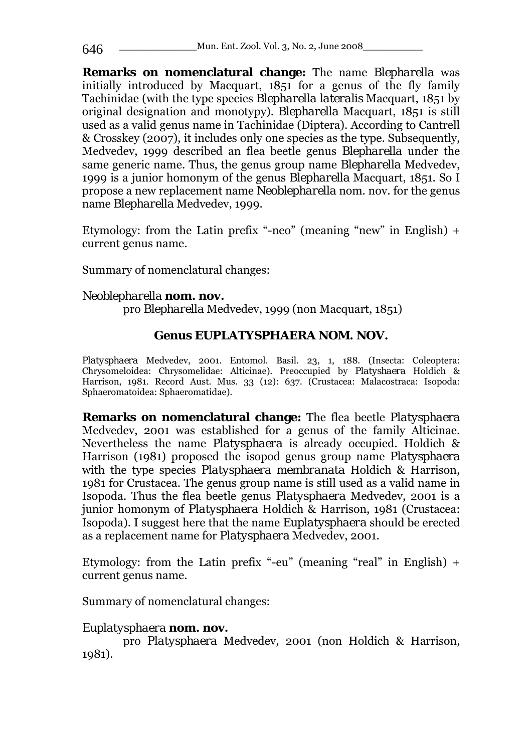**Remarks on nomenclatural change:** The name *Blepharella* was initially introduced by Macquart, 1851 for a genus of the fly family Tachinidae (with the type species *Blepharella lateralis* Macquart, 1851 by original designation and monotypy). *Blepharella* Macquart, 1851 is still used as a valid genus name in Tachinidae (Diptera). According to Cantrell & Crosskey (2007), it includes only one species as the type. Subsequently, Medvedev, 1999 described an flea beetle genus *Blepharella* under the same generic name. Thus, the genus group name *Blepharella* Medvedev, 1999 is a junior homonym of the genus *Blepharella* Macquart, 1851. So I propose a new replacement name *Neoblepharella* nom. nov. for the genus name *Blepharella* Medvedev, 1999.

Etymology: from the Latin prefix "-neo" (meaning "new" in English) + current genus name.

Summary of nomenclatural changes:

### *Neoblepharella* **nom. nov.**  pro *Blepharella* Medvedev, 1999 (non Macquart, 1851)

# **Genus** *EUPLATYSPHAERA* **NOM. NOV.**

*Platysphaera* Medvedev, 2001. Entomol. Basil. 23, 1, 188. (Insecta: Coleoptera: Chrysomeloidea: Chrysomelidae: Alticinae). Preoccupied by *Platyshaera* Holdich & Harrison, 1981. Record Aust. Mus. 33 (12): 637. (Crustacea: Malacostraca: Isopoda: Sphaeromatoidea: Sphaeromatidae).

**Remarks on nomenclatural change:** The flea beetle *Platysphaera*  Medvedev, 2001 was established for a genus of the family Alticinae. Nevertheless the name *Platysphaera* is already occupied. Holdich & Harrison (1981) proposed the isopod genus group name *Platysphaera*  with the type species *Platysphaera membranata* Holdich & Harrison, 1981 for Crustacea. The genus group name is still used as a valid name in Isopoda. Thus the flea beetle genus *Platysphaera* Medvedev, 2001 is a junior homonym of *Platysphaera* Holdich & Harrison, 1981 (Crustacea: Isopoda). I suggest here that the name *Euplatysphaera* should be erected as a replacement name for *Platysphaera* Medvedev, 2001.

Etymology: from the Latin prefix "-eu" (meaning "real" in English) + current genus name.

Summary of nomenclatural changes:

# *Euplatysphaera* **nom. nov.**

pro *Platysphaera* Medvedev, 2001 (non Holdich & Harrison, 1981).